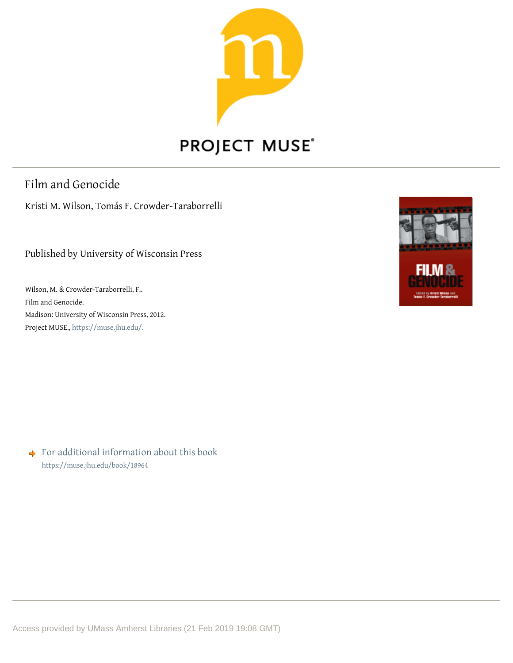

# Film and Genocide

Kristi M. Wilson, Tomás F. Crowder-Taraborrelli

Published by University of Wisconsin Press

Wilson, M. & Crowder-Taraborrelli, F.. Film and Genocide. Madison: University of Wisconsin Press, 2012. Project MUSE., https://muse.jhu.edu/.



◆ For additional information about this book <https://muse.jhu.edu/book/18964>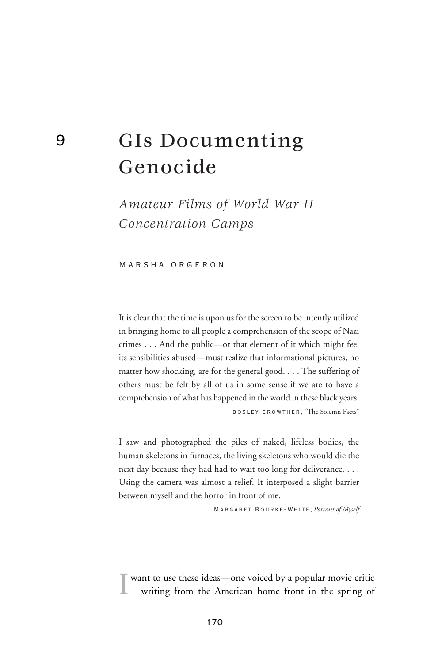# GIs Documenting Genocide

*Amateur Films of World War II Concentration Camps*

marsha orgeron

It is clear that the time is upon us for the screen to be intently utilized in bringing home to all people a comprehension of the scope of Nazi crimes . . . And the public—or that element of it which might feel its sensibilities abused—must realize that informational pictures, no matter how shocking, are for the general good. . . . The suffering of others must be felt by all of us in some sense if we are to have a comprehension of what has happened in the world in these black years. bosley crowther, "The Solemn Facts"

I saw and photographed the piles of naked, lifeless bodies, the human skeletons in furnaces, the living skeletons who would die the next day because they had had to wait too long for deliverance. . . . Using the camera was almost a relief. It interposed a slight barrier between myself and the horror in front of me.

Margaret Bourke-White, *Portrait of Myself*

I want to use these ideas—one voiced by a popular movie critic writing from the American home front in the spring of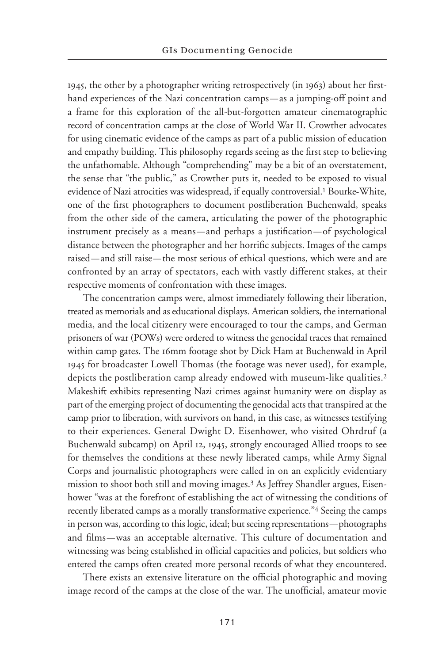1945, the other by a photographer writing retrospectively (in 1963) about her firsthand experiences of the Nazi concentration camps—as a jumping-off point and a frame for this exploration of the all-but-forgotten amateur cinematographic record of concentration camps at the close of World War II. Crowther advocates for using cinematic evidence of the camps as part of a public mission of education and empathy building. This philosophy regards seeing as the first step to believing the unfathomable. Although "comprehending" may be a bit of an overstatement, the sense that "the public," as Crowther puts it, needed to be exposed to visual evidence of Nazi atrocities was widespread, if equally controversial.<sup>1</sup> Bourke-White, one of the first photographers to document postliberation Buchenwald, speaks from the other side of the camera, articulating the power of the photographic instrument precisely as a means—and perhaps a justification—of psychological distance between the photographer and her horrific subjects. Images of the camps raised—and still raise—the most serious of ethical questions, which were and are confronted by an array of spectators, each with vastly different stakes, at their respective moments of confrontation with these images.

The concentration camps were, almost immediately following their liberation, treated as memorials and as educational displays. American soldiers, the international media, and the local citizenry were encouraged to tour the camps, and German prisoners of war (POWs) were ordered to witness the genocidal traces that remained within camp gates. The 16mm footage shot by Dick Ham at Buchenwald in April 1945 for broadcaster Lowell Thomas (the footage was never used), for example, depicts the postliberation camp already endowed with museum-like qualities.<sup>2</sup> Makeshift exhibits representing Nazi crimes against humanity were on display as part of the emerging project of documenting the genocidal acts that transpired at the camp prior to liberation, with survivors on hand, in this case, as witnesses testifying to their experiences. General Dwight D. Eisenhower, who visited Ohrdruf (a Buchenwald subcamp) on April 12, 1945, strongly encouraged Allied troops to see for themselves the conditions at these newly liberated camps, while Army Signal Corps and journalistic photographers were called in on an explicitly evidentiary mission to shoot both still and moving images.<sup>3</sup> As Jeffrey Shandler argues, Eisenhower "was at the forefront of establishing the act of witnessing the conditions of recently liberated camps as a morally transformative experience."<sup>4</sup> Seeing the camps in person was, according to this logic, ideal; but seeing representations—photographs and films—was an acceptable alternative. This culture of documentation and witnessing was being established in official capacities and policies, but soldiers who entered the camps often created more personal records of what they encountered.

There exists an extensive literature on the official photographic and moving image record of the camps at the close of the war. The unofficial, amateur movie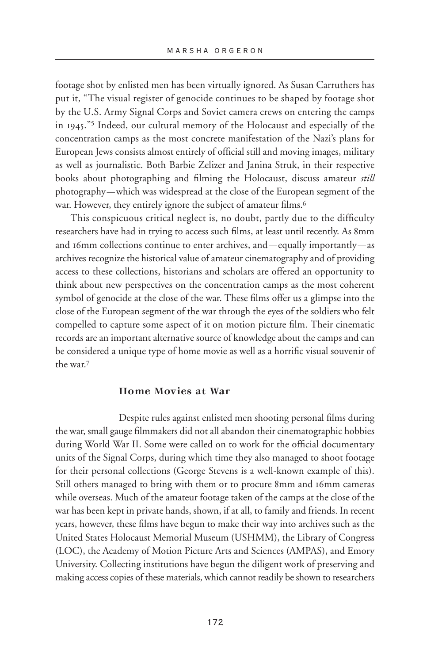footage shot by enlisted men has been virtually ignored. As Susan Carruthers has put it, "The visual register of genocide continues to be shaped by footage shot by the U.S. Army Signal Corps and Soviet camera crews on entering the camps in 1945."<sup>5</sup> Indeed, our cultural memory of the Holocaust and especially of the concentration camps as the most concrete manifestation of the Nazi's plans for European Jews consists almost entirely of official still and moving images, military as well as journalistic. Both Barbie Zelizer and Janina Struk, in their respective books about photographing and filming the Holocaust, discuss amateur *still* photography—which was widespread at the close of the European segment of the war. However, they entirely ignore the subject of amateur films.<sup>6</sup>

This conspicuous critical neglect is, no doubt, partly due to the difficulty researchers have had in trying to access such films, at least until recently. As 8mm and 16mm collections continue to enter archives, and—equally importantly—as archives recognize the historical value of amateur cinematography and of providing access to these collections, historians and scholars are offered an opportunity to think about new perspectives on the concentration camps as the most coherent symbol of genocide at the close of the war. These films offer us a glimpse into the close of the European segment of the war through the eyes of the soldiers who felt compelled to capture some aspect of it on motion picture film. Their cinematic records are an important alternative source of knowledge about the camps and can be considered a unique type of home movie as well as a horrific visual souvenir of the war.<sup>7</sup>

#### **Home Movies at War**

Despite rules against enlisted men shooting personal films during the war, small gauge filmmakers did not all abandon their cinematographic hobbies during World War II. Some were called on to work for the official documentary units of the Signal Corps, during which time they also managed to shoot footage for their personal collections (George Stevens is a well-known example of this). Still others managed to bring with them or to procure 8mm and 16mm cameras while overseas. Much of the amateur footage taken of the camps at the close of the war has been kept in private hands, shown, if at all, to family and friends. In recent years, however, these films have begun to make their way into archives such as the United States Holocaust Memorial Museum (USHMM), the Library of Congress (LOC), the Academy of Motion Picture Arts and Sciences (AMPAS), and Emory University. Collecting institutions have begun the diligent work of preserving and making access copies of these materials, which cannot readily be shown to researchers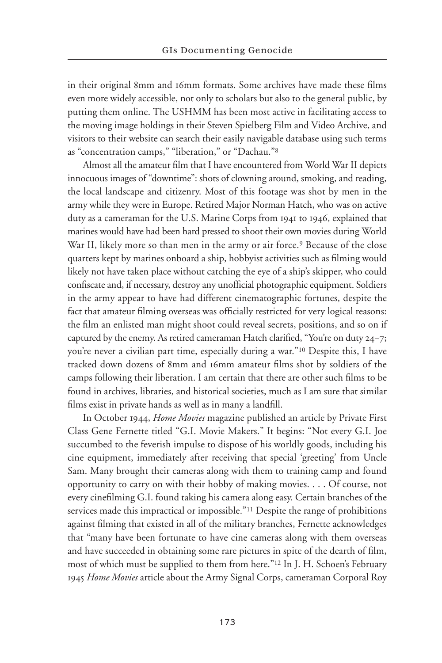in their original 8mm and 16mm formats. Some archives have made these films even more widely accessible, not only to scholars but also to the general public, by putting them online. The USHMM has been most active in facilitating access to the moving image holdings in their Steven Spielberg Film and Video Archive, and visitors to their website can search their easily navigable database using such terms as "concentration camps," "liberation," or "Dachau."<sup>8</sup>

Almost all the amateur film that I have encountered from World War II depicts innocuous images of "downtime": shots of clowning around, smoking, and reading, the local landscape and citizenry. Most of this footage was shot by men in the army while they were in Europe. Retired Major Norman Hatch, who was on active duty as a cameraman for the U.S. Marine Corps from 1941 to 1946, explained that marines would have had been hard pressed to shoot their own movies during World War II, likely more so than men in the army or air force.<sup>9</sup> Because of the close quarters kept by marines onboard a ship, hobbyist activities such as filming would likely not have taken place without catching the eye of a ship's skipper, who could confiscate and, if necessary, destroy any unofficial photographic equipment. Soldiers in the army appear to have had different cinematographic fortunes, despite the fact that amateur filming overseas was officially restricted for very logical reasons: the film an enlisted man might shoot could reveal secrets, positions, and so on if captured by the enemy. As retired cameraman Hatch clarified, "You're on duty 24–7; you're never a civilian part time, especially during a war."<sup>10</sup> Despite this, I have tracked down dozens of 8mm and 16mm amateur films shot by soldiers of the camps following their liberation. I am certain that there are other such films to be found in archives, libraries, and historical societies, much as I am sure that similar films exist in private hands as well as in many a landfill.

In October 1944, *Home Movies* magazine published an article by Private First Class Gene Fernette titled "G.I. Movie Makers." It begins: "Not every G.I. Joe succumbed to the feverish impulse to dispose of his worldly goods, including his cine equipment, immediately after receiving that special 'greeting' from Uncle Sam. Many brought their cameras along with them to training camp and found opportunity to carry on with their hobby of making movies. . . . Of course, not every cinefilming G.I. found taking his camera along easy. Certain branches of the services made this impractical or impossible."<sup>11</sup> Despite the range of prohibitions against filming that existed in all of the military branches, Fernette acknowledges that "many have been fortunate to have cine cameras along with them overseas and have succeeded in obtaining some rare pictures in spite of the dearth of film, most of which must be supplied to them from here."<sup>12</sup> In J. H. Schoen's February 1945 *Home Movies* article about the Army Signal Corps, cameraman Corporal Roy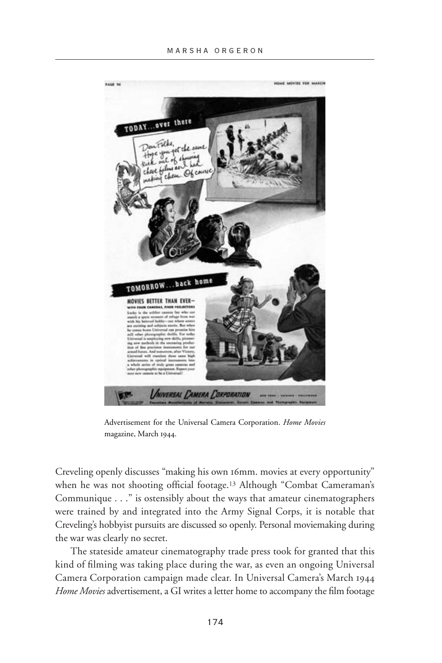

Advertisement for the Universal Camera Corporation. *Home Movies* magazine, March 1944.

Creveling openly discusses "making his own 16mm. movies at every opportunity" when he was not shooting official footage.<sup>13</sup> Although "Combat Cameraman's Communique . . ." is ostensibly about the ways that amateur cinematographers were trained by and integrated into the Army Signal Corps, it is notable that Creveling's hobbyist pursuits are discussed so openly. Personal moviemaking during the war was clearly no secret.

The stateside amateur cinematography trade press took for granted that this kind of filming was taking place during the war, as even an ongoing Universal Camera Corporation campaign made clear. In Universal Camera's March 1944 *Home Movies* advertisement, a GI writes a letter home to accompany the film footage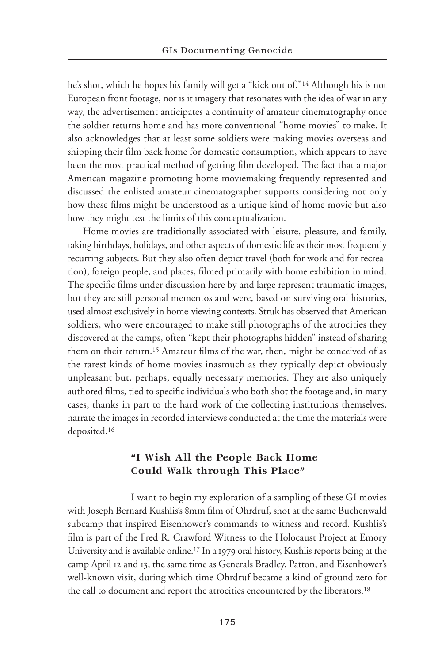he's shot, which he hopes his family will get a "kick out of."<sup>14</sup> Although his is not European front footage, nor is it imagery that resonates with the idea of war in any way, the advertisement anticipates a continuity of amateur cinematography once the soldier returns home and has more conventional "home movies" to make. It also acknowledges that at least some soldiers were making movies overseas and shipping their film back home for domestic consumption, which appears to have been the most practical method of getting film developed. The fact that a major American magazine promoting home moviemaking frequently represented and discussed the enlisted amateur cinematographer supports considering not only how these films might be understood as a unique kind of home movie but also how they might test the limits of this conceptualization.

Home movies are traditionally associated with leisure, pleasure, and family, taking birthdays, holidays, and other aspects of domestic life as their most frequently recurring subjects. But they also often depict travel (both for work and for recreation), foreign people, and places, filmed primarily with home exhibition in mind. The specific films under discussion here by and large represent traumatic images, but they are still personal mementos and were, based on surviving oral histories, used almost exclusively in home-viewing contexts. Struk has observed that American soldiers, who were encouraged to make still photographs of the atrocities they discovered at the camps, often "kept their photographs hidden" instead of sharing them on their return.<sup>15</sup> Amateur films of the war, then, might be conceived of as the rarest kinds of home movies inasmuch as they typically depict obviously unpleasant but, perhaps, equally necessary memories. They are also uniquely authored films, tied to specific individuals who both shot the footage and, in many cases, thanks in part to the hard work of the collecting institutions themselves, narrate the images in recorded interviews conducted at the time the materials were deposited.<sup>16</sup>

### **"I Wish All the People Back Home Could Walk through This Place"**

I want to begin my exploration of a sampling of these GI movies with Joseph Bernard Kushlis's 8mm film of Ohrdruf, shot at the same Buchenwald subcamp that inspired Eisenhower's commands to witness and record. Kushlis's film is part of the Fred R. Crawford Witness to the Holocaust Project at Emory University and is available online.<sup>17</sup> In a 1979 oral history, Kushlis reports being at the camp April 12 and 13, the same time as Generals Bradley, Patton, and Eisenhower's well-known visit, during which time Ohrdruf became a kind of ground zero for the call to document and report the atrocities encountered by the liberators.<sup>18</sup>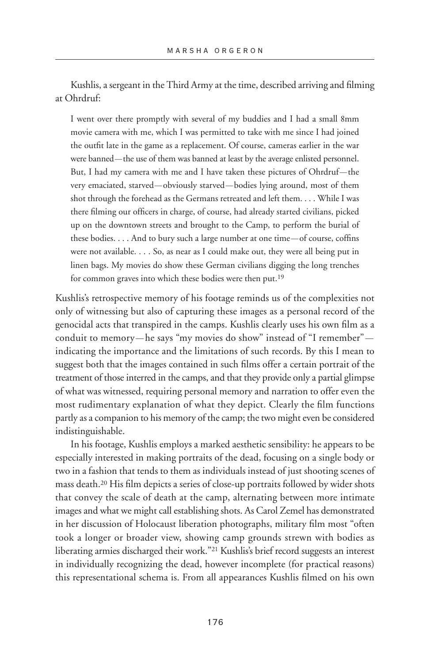Kushlis, a sergeant in the Third Army at the time, described arriving and filming at Ohrdruf:

I went over there promptly with several of my buddies and I had a small 8mm movie camera with me, which I was permitted to take with me since I had joined the outfit late in the game as a replacement. Of course, cameras earlier in the war were banned—the use of them was banned at least by the average enlisted personnel. But, I had my camera with me and I have taken these pictures of Ohrdruf—the very emaciated, starved—obviously starved—bodies lying around, most of them shot through the forehead as the Germans retreated and left them. . . . While I was there filming our officers in charge, of course, had already started civilians, picked up on the downtown streets and brought to the Camp, to perform the burial of these bodies. . . . And to bury such a large number at one time—of course, coffins were not available. . . . So, as near as I could make out, they were all being put in linen bags. My movies do show these German civilians digging the long trenches for common graves into which these bodies were then put.19

Kushlis's retrospective memory of his footage reminds us of the complexities not only of witnessing but also of capturing these images as a personal record of the genocidal acts that transpired in the camps. Kushlis clearly uses his own film as a conduit to memory—he says "my movies do show" instead of "I remember" indicating the importance and the limitations of such records. By this I mean to suggest both that the images contained in such films offer a certain portrait of the treatment of those interred in the camps, and that they provide only a partial glimpse of what was witnessed, requiring personal memory and narration to offer even the most rudimentary explanation of what they depict. Clearly the film functions partly as a companion to his memory of the camp; the two might even be considered indistinguishable.

In his footage, Kushlis employs a marked aesthetic sensibility: he appears to be especially interested in making portraits of the dead, focusing on a single body or two in a fashion that tends to them as individuals instead of just shooting scenes of mass death.<sup>20</sup> His film depicts a series of close-up portraits followed by wider shots that convey the scale of death at the camp, alternating between more intimate images and what we might call establishing shots. As Carol Zemel has demonstrated in her discussion of Holocaust liberation photographs, military film most "often took a longer or broader view, showing camp grounds strewn with bodies as liberating armies discharged their work."<sup>21</sup> Kushlis's brief record suggests an interest in individually recognizing the dead, however incomplete (for practical reasons) this representational schema is. From all appearances Kushlis filmed on his own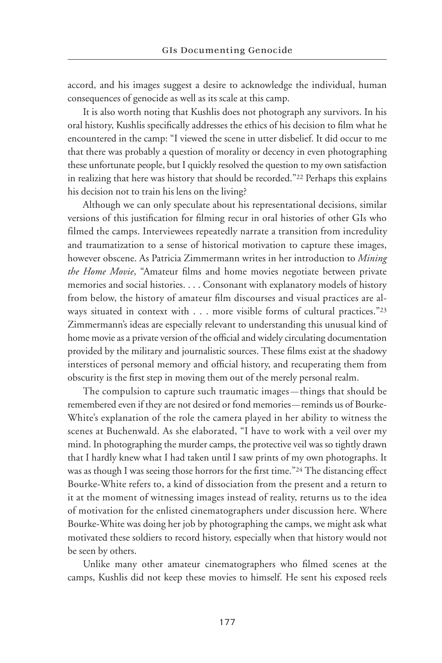accord, and his images suggest a desire to acknowledge the individual, human consequences of genocide as well as its scale at this camp.

It is also worth noting that Kushlis does not photograph any survivors. In his oral history, Kushlis specifically addresses the ethics of his decision to film what he encountered in the camp: "I viewed the scene in utter disbelief. It did occur to me that there was probably a question of morality or decency in even photographing these unfortunate people, but I quickly resolved the question to my own satisfaction in realizing that here was history that should be recorded."<sup>22</sup> Perhaps this explains his decision not to train his lens on the living?

Although we can only speculate about his representational decisions, similar versions of this justification for filming recur in oral histories of other GIs who filmed the camps. Interviewees repeatedly narrate a transition from incredulity and traumatization to a sense of historical motivation to capture these images, however obscene. As Patricia Zimmermann writes in her introduction to *Mining the Home Movie*, "Amateur films and home movies negotiate between private memories and social histories. . . . Consonant with explanatory models of history from below, the history of amateur film discourses and visual practices are always situated in context with . . . more visible forms of cultural practices."23 Zimmermann's ideas are especially relevant to understanding this unusual kind of home movie as a private version of the official and widely circulating documentation provided by the military and journalistic sources. These films exist at the shadowy interstices of personal memory and official history, and recuperating them from obscurity is the first step in moving them out of the merely personal realm.

The compulsion to capture such traumatic images—things that should be remembered even if they are not desired or fond memories—reminds us of Bourke-White's explanation of the role the camera played in her ability to witness the scenes at Buchenwald. As she elaborated, "I have to work with a veil over my mind. In photographing the murder camps, the protective veil was so tightly drawn that I hardly knew what I had taken until I saw prints of my own photographs. It was as though I was seeing those horrors for the first time."<sup>24</sup> The distancing effect Bourke-White refers to, a kind of dissociation from the present and a return to it at the moment of witnessing images instead of reality, returns us to the idea of motivation for the enlisted cinematographers under discussion here. Where Bourke-White was doing her job by photographing the camps, we might ask what motivated these soldiers to record history, especially when that history would not be seen by others.

Unlike many other amateur cinematographers who filmed scenes at the camps, Kushlis did not keep these movies to himself. He sent his exposed reels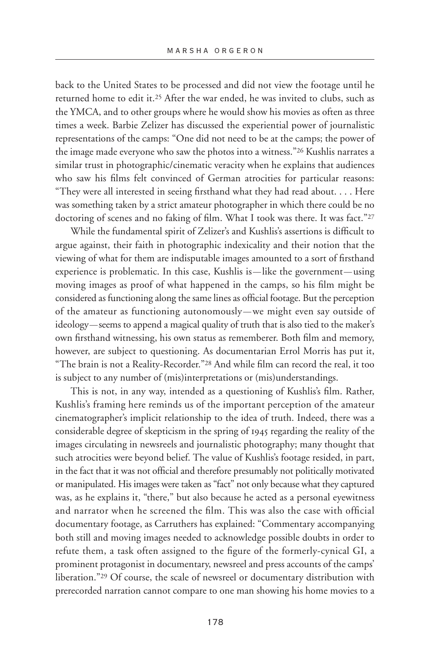back to the United States to be processed and did not view the footage until he returned home to edit it.<sup>25</sup> After the war ended, he was invited to clubs, such as the YMCA, and to other groups where he would show his movies as often as three times a week. Barbie Zelizer has discussed the experiential power of journalistic representations of the camps: "One did not need to be at the camps; the power of the image made everyone who saw the photos into a witness."<sup>26</sup> Kushlis narrates a similar trust in photographic/cinematic veracity when he explains that audiences who saw his films felt convinced of German atrocities for particular reasons: "They were all interested in seeing firsthand what they had read about. . . . Here was something taken by a strict amateur photographer in which there could be no doctoring of scenes and no faking of film. What I took was there. It was fact."27

While the fundamental spirit of Zelizer's and Kushlis's assertions is difficult to argue against, their faith in photographic indexicality and their notion that the viewing of what for them are indisputable images amounted to a sort of firsthand experience is problematic. In this case, Kushlis is—like the government—using moving images as proof of what happened in the camps, so his film might be considered as functioning along the same lines as official footage. But the perception of the amateur as functioning autonomously—we might even say outside of ideology—seems to append a magical quality of truth that is also tied to the maker's own firsthand witnessing, his own status as rememberer. Both film and memory, however, are subject to questioning. As documentarian Errol Morris has put it, "The brain is not a Reality-Recorder."<sup>28</sup> And while film can record the real, it too is subject to any number of (mis)interpretations or (mis)understandings.

This is not, in any way, intended as a questioning of Kushlis's film. Rather, Kushlis's framing here reminds us of the important perception of the amateur cinematographer's implicit relationship to the idea of truth. Indeed, there was a considerable degree of skepticism in the spring of 1945 regarding the reality of the images circulating in newsreels and journalistic photography; many thought that such atrocities were beyond belief. The value of Kushlis's footage resided, in part, in the fact that it was not official and therefore presumably not politically motivated or manipulated. His images were taken as "fact" not only because what they captured was, as he explains it, "there," but also because he acted as a personal eyewitness and narrator when he screened the film. This was also the case with official documentary footage, as Carruthers has explained: "Commentary accompanying both still and moving images needed to acknowledge possible doubts in order to refute them, a task often assigned to the figure of the formerly-cynical GI, a prominent protagonist in documentary, newsreel and press accounts of the camps' liberation."<sup>29</sup> Of course, the scale of newsreel or documentary distribution with prerecorded narration cannot compare to one man showing his home movies to a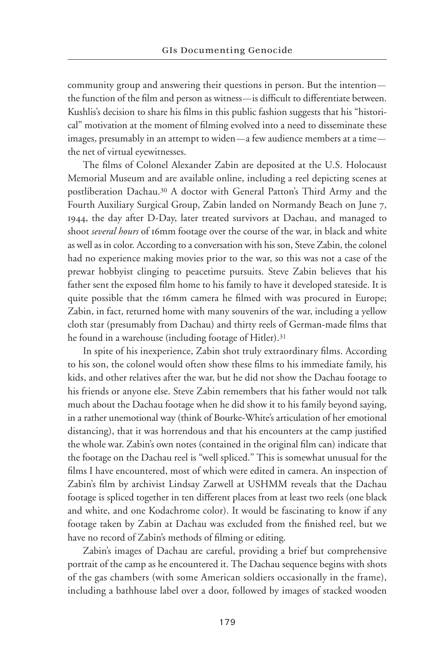community group and answering their questions in person. But the intention the function of the film and person as witness—is difficult to differentiate between. Kushlis's decision to share his films in this public fashion suggests that his "historical" motivation at the moment of filming evolved into a need to disseminate these images, presumably in an attempt to widen—a few audience members at a time the net of virtual eyewitnesses.

The films of Colonel Alexander Zabin are deposited at the U.S. Holocaust Memorial Museum and are available online, including a reel depicting scenes at postliberation Dachau.<sup>30</sup> A doctor with General Patton's Third Army and the Fourth Auxiliary Surgical Group, Zabin landed on Normandy Beach on June 7, 1944, the day after D-Day, later treated survivors at Dachau, and managed to shoot *several hours* of 16mm footage over the course of the war, in black and white as well as in color. According to a conversation with his son, Steve Zabin, the colonel had no experience making movies prior to the war, so this was not a case of the prewar hobbyist clinging to peacetime pursuits. Steve Zabin believes that his father sent the exposed film home to his family to have it developed stateside. It is quite possible that the 16mm camera he filmed with was procured in Europe; Zabin, in fact, returned home with many souvenirs of the war, including a yellow cloth star (presumably from Dachau) and thirty reels of German-made films that he found in a warehouse (including footage of Hitler).<sup>31</sup>

In spite of his inexperience, Zabin shot truly extraordinary films. According to his son, the colonel would often show these films to his immediate family, his kids, and other relatives after the war, but he did not show the Dachau footage to his friends or anyone else. Steve Zabin remembers that his father would not talk much about the Dachau footage when he did show it to his family beyond saying, in a rather unemotional way (think of Bourke-White's articulation of her emotional distancing), that it was horrendous and that his encounters at the camp justified the whole war. Zabin's own notes (contained in the original film can) indicate that the footage on the Dachau reel is "well spliced." This is somewhat unusual for the films I have encountered, most of which were edited in camera. An inspection of Zabin's film by archivist Lindsay Zarwell at USHMM reveals that the Dachau footage is spliced together in ten different places from at least two reels (one black and white, and one Kodachrome color). It would be fascinating to know if any footage taken by Zabin at Dachau was excluded from the finished reel, but we have no record of Zabin's methods of filming or editing.

Zabin's images of Dachau are careful, providing a brief but comprehensive portrait of the camp as he encountered it. The Dachau sequence begins with shots of the gas chambers (with some American soldiers occasionally in the frame), including a bathhouse label over a door, followed by images of stacked wooden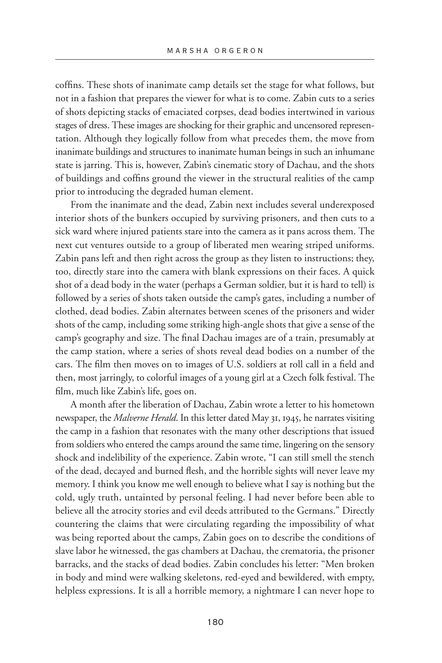coffins. These shots of inanimate camp details set the stage for what follows, but not in a fashion that prepares the viewer for what is to come. Zabin cuts to a series of shots depicting stacks of emaciated corpses, dead bodies intertwined in various stages of dress. These images are shocking for their graphic and uncensored representation. Although they logically follow from what precedes them, the move from inanimate buildings and structures to inanimate human beings in such an inhumane state is jarring. This is, however, Zabin's cinematic story of Dachau, and the shots of buildings and coffins ground the viewer in the structural realities of the camp prior to introducing the degraded human element.

From the inanimate and the dead, Zabin next includes several underexposed interior shots of the bunkers occupied by surviving prisoners, and then cuts to a sick ward where injured patients stare into the camera as it pans across them. The next cut ventures outside to a group of liberated men wearing striped uniforms. Zabin pans left and then right across the group as they listen to instructions; they, too, directly stare into the camera with blank expressions on their faces. A quick shot of a dead body in the water (perhaps a German soldier, but it is hard to tell) is followed by a series of shots taken outside the camp's gates, including a number of clothed, dead bodies. Zabin alternates between scenes of the prisoners and wider shots of the camp, including some striking high-angle shots that give a sense of the camp's geography and size. The final Dachau images are of a train, presumably at the camp station, where a series of shots reveal dead bodies on a number of the cars. The film then moves on to images of U.S. soldiers at roll call in a field and then, most jarringly, to colorful images of a young girl at a Czech folk festival. The film, much like Zabin's life, goes on.

A month after the liberation of Dachau, Zabin wrote a letter to his hometown newspaper, the *Malverne Herald*. In this letter dated May 31, 1945, he narrates visiting the camp in a fashion that resonates with the many other descriptions that issued from soldiers who entered the camps around the same time, lingering on the sensory shock and indelibility of the experience. Zabin wrote, "I can still smell the stench of the dead, decayed and burned flesh, and the horrible sights will never leave my memory. I think you know me well enough to believe what I say is nothing but the cold, ugly truth, untainted by personal feeling. I had never before been able to believe all the atrocity stories and evil deeds attributed to the Germans." Directly countering the claims that were circulating regarding the impossibility of what was being reported about the camps, Zabin goes on to describe the conditions of slave labor he witnessed, the gas chambers at Dachau, the crematoria, the prisoner barracks, and the stacks of dead bodies. Zabin concludes his letter: "Men broken in body and mind were walking skeletons, red-eyed and bewildered, with empty, helpless expressions. It is all a horrible memory, a nightmare I can never hope to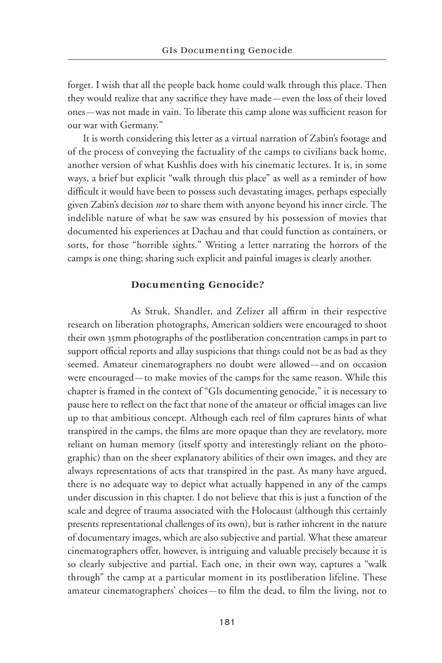forget. I wish that all the people back home could walk through this place. Then they would realize that any sacrifice they have made—even the loss of their loved ones—was not made in vain. To liberate this camp alone was sufficient reason for our war with Germany."

It is worth considering this letter as a virtual narration of Zabin's footage and of the process of conveying the factuality of the camps to civilians back home, another version of what Kushlis does with his cinematic lectures. It is, in some ways, a brief but explicit "walk through this place" as well as a reminder of how difficult it would have been to possess such devastating images, perhaps especially given Zabin's decision *not* to share them with anyone beyond his inner circle. The indelible nature of what he saw was ensured by his possession of movies that documented his experiences at Dachau and that could function as containers, or sorts, for those "horrible sights." Writing a letter narrating the horrors of the camps is one thing; sharing such explicit and painful images is clearly another.

#### **Documenting Genocide?**

As Struk, Shandler, and Zelizer all affirm in their respective research on liberation photographs, American soldiers were encouraged to shoot their own 35mm photographs of the postliberation concentration camps in part to support official reports and allay suspicions that things could not be as bad as they seemed. Amateur cinematographers no doubt were allowed—and on occasion were encouraged—to make movies of the camps for the same reason. While this chapter is framed in the context of "GIs documenting genocide," it is necessary to pause here to reflect on the fact that none of the amateur or official images can live up to that ambitious concept. Although each reel of film captures hints of what transpired in the camps, the films are more opaque than they are revelatory, more reliant on human memory (itself spotty and interestingly reliant on the photographic) than on the sheer explanatory abilities of their own images, and they are always representations of acts that transpired in the past. As many have argued, there is no adequate way to depict what actually happened in any of the camps under discussion in this chapter. I do not believe that this is just a function of the scale and degree of trauma associated with the Holocaust (although this certainly presents representational challenges of its own), but is rather inherent in the nature of documentary images, which are also subjective and partial. What these amateur cinematographers offer, however, is intriguing and valuable precisely because it is so clearly subjective and partial. Each one, in their own way, captures a "walk through" the camp at a particular moment in its postliberation lifeline. These amateur cinematographers' choices—to film the dead, to film the living, not to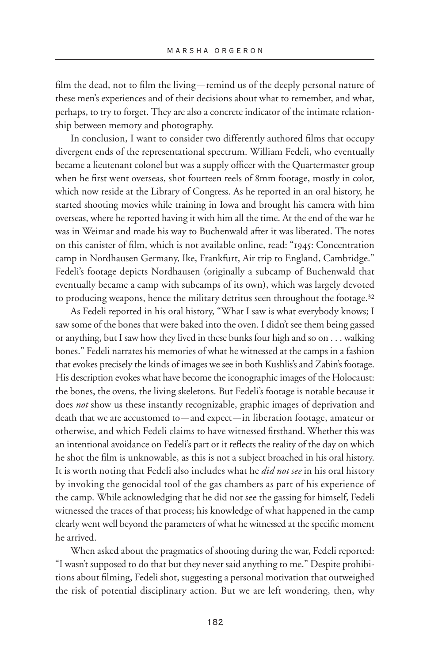film the dead, not to film the living—remind us of the deeply personal nature of these men's experiences and of their decisions about what to remember, and what, perhaps, to try to forget. They are also a concrete indicator of the intimate relationship between memory and photography.

In conclusion, I want to consider two differently authored films that occupy divergent ends of the representational spectrum. William Fedeli, who eventually became a lieutenant colonel but was a supply officer with the Quartermaster group when he first went overseas, shot fourteen reels of 8mm footage, mostly in color, which now reside at the Library of Congress. As he reported in an oral history, he started shooting movies while training in Iowa and brought his camera with him overseas, where he reported having it with him all the time. At the end of the war he was in Weimar and made his way to Buchenwald after it was liberated. The notes on this canister of film, which is not available online, read: "1945: Concentration camp in Nordhausen Germany, Ike, Frankfurt, Air trip to England, Cambridge." Fedeli's footage depicts Nordhausen (originally a subcamp of Buchenwald that eventually became a camp with subcamps of its own), which was largely devoted to producing weapons, hence the military detritus seen throughout the footage.<sup>32</sup>

As Fedeli reported in his oral history, "What I saw is what everybody knows; I saw some of the bones that were baked into the oven. I didn't see them being gassed or anything, but I saw how they lived in these bunks four high and so on . . . walking bones." Fedeli narrates his memories of what he witnessed at the camps in a fashion that evokes precisely the kinds of images we see in both Kushlis's and Zabin's footage. His description evokes what have become the iconographic images of the Holocaust: the bones, the ovens, the living skeletons. But Fedeli's footage is notable because it does *not* show us these instantly recognizable, graphic images of deprivation and death that we are accustomed to—and expect—in liberation footage, amateur or otherwise, and which Fedeli claims to have witnessed firsthand. Whether this was an intentional avoidance on Fedeli's part or it reflects the reality of the day on which he shot the film is unknowable, as this is not a subject broached in his oral history. It is worth noting that Fedeli also includes what he *did not see* in his oral history by invoking the genocidal tool of the gas chambers as part of his experience of the camp. While acknowledging that he did not see the gassing for himself, Fedeli witnessed the traces of that process; his knowledge of what happened in the camp clearly went well beyond the parameters of what he witnessed at the specific moment he arrived.

When asked about the pragmatics of shooting during the war, Fedeli reported: "I wasn't supposed to do that but they never said anything to me." Despite prohibitions about filming, Fedeli shot, suggesting a personal motivation that outweighed the risk of potential disciplinary action. But we are left wondering, then, why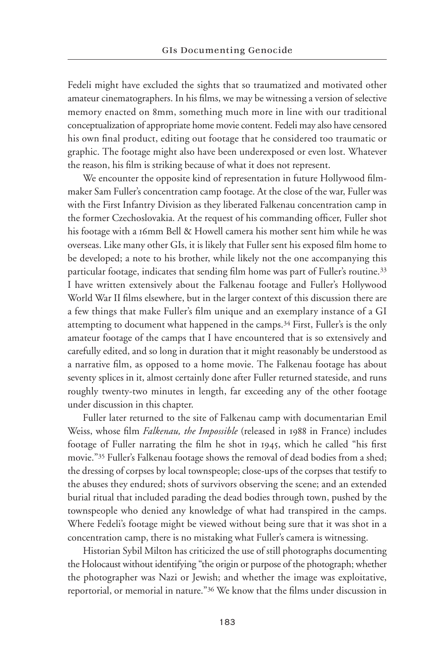Fedeli might have excluded the sights that so traumatized and motivated other amateur cinematographers. In his films, we may be witnessing a version of selective memory enacted on 8mm, something much more in line with our traditional conceptualization of appropriate home movie content. Fedeli may also have censored his own final product, editing out footage that he considered too traumatic or graphic. The footage might also have been underexposed or even lost. Whatever the reason, his film is striking because of what it does not represent.

We encounter the opposite kind of representation in future Hollywood filmmaker Sam Fuller's concentration camp footage. At the close of the war, Fuller was with the First Infantry Division as they liberated Falkenau concentration camp in the former Czechoslovakia. At the request of his commanding officer, Fuller shot his footage with a 16mm Bell & Howell camera his mother sent him while he was overseas. Like many other GIs, it is likely that Fuller sent his exposed film home to be developed; a note to his brother, while likely not the one accompanying this particular footage, indicates that sending film home was part of Fuller's routine.<sup>33</sup> I have written extensively about the Falkenau footage and Fuller's Hollywood World War II films elsewhere, but in the larger context of this discussion there are a few things that make Fuller's film unique and an exemplary instance of a GI attempting to document what happened in the camps.<sup>34</sup> First, Fuller's is the only amateur footage of the camps that I have encountered that is so extensively and carefully edited, and so long in duration that it might reasonably be understood as a narrative film, as opposed to a home movie. The Falkenau footage has about seventy splices in it, almost certainly done after Fuller returned stateside, and runs roughly twenty-two minutes in length, far exceeding any of the other footage under discussion in this chapter.

Fuller later returned to the site of Falkenau camp with documentarian Emil Weiss, whose film *Falkenau, the Impossible* (released in 1988 in France) includes footage of Fuller narrating the film he shot in 1945, which he called "his first movie."<sup>35</sup> Fuller's Falkenau footage shows the removal of dead bodies from a shed; the dressing of corpses by local townspeople; close-ups of the corpses that testify to the abuses they endured; shots of survivors observing the scene; and an extended burial ritual that included parading the dead bodies through town, pushed by the townspeople who denied any knowledge of what had transpired in the camps. Where Fedeli's footage might be viewed without being sure that it was shot in a concentration camp, there is no mistaking what Fuller's camera is witnessing.

Historian Sybil Milton has criticized the use of still photographs documenting the Holocaust without identifying "the origin or purpose of the photograph; whether the photographer was Nazi or Jewish; and whether the image was exploitative, reportorial, or memorial in nature."<sup>36</sup> We know that the films under discussion in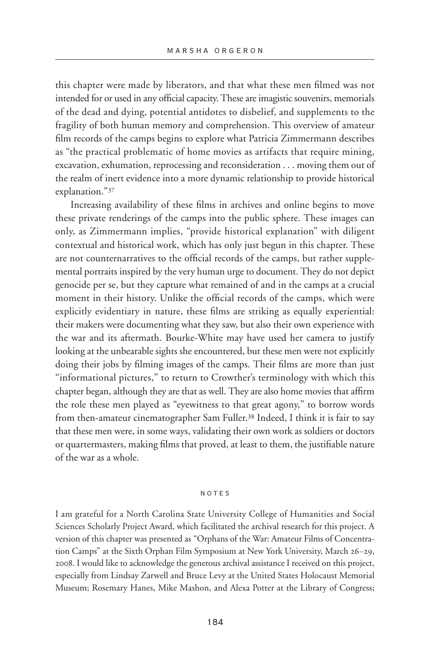this chapter were made by liberators, and that what these men filmed was not intended for or used in any official capacity. These are imagistic souvenirs, memorials of the dead and dying, potential antidotes to disbelief, and supplements to the fragility of both human memory and comprehension. This overview of amateur film records of the camps begins to explore what Patricia Zimmermann describes as "the practical problematic of home movies as artifacts that require mining, excavation, exhumation, reprocessing and reconsideration . . . moving them out of the realm of inert evidence into a more dynamic relationship to provide historical explanation."<sup>37</sup>

Increasing availability of these films in archives and online begins to move these private renderings of the camps into the public sphere. These images can only, as Zimmermann implies, "provide historical explanation" with diligent contextual and historical work, which has only just begun in this chapter. These are not counternarratives to the official records of the camps, but rather supplemental portraits inspired by the very human urge to document. They do not depict genocide per se, but they capture what remained of and in the camps at a crucial moment in their history. Unlike the official records of the camps, which were explicitly evidentiary in nature, these films are striking as equally experiential: their makers were documenting what they saw, but also their own experience with the war and its aftermath. Bourke-White may have used her camera to justify looking at the unbearable sights she encountered, but these men were not explicitly doing their jobs by filming images of the camps. Their films are more than just "informational pictures," to return to Crowther's terminology with which this chapter began, although they are that as well. They are also home movies that affirm the role these men played as "eyewitness to that great agony," to borrow words from then-amateur cinematographer Sam Fuller.<sup>38</sup> Indeed, I think it is fair to say that these men were, in some ways, validating their own work as soldiers or doctors or quartermasters, making films that proved, at least to them, the justifiable nature of the war as a whole.

## notes

I am grateful for a North Carolina State University College of Humanities and Social Sciences Scholarly Project Award, which facilitated the archival research for this project. A version of this chapter was presented as "Orphans of the War: Amateur Films of Concentration Camps" at the Sixth Orphan Film Symposium at New York University, March 26–29, 2008. I would like to acknowledge the generous archival assistance I received on this project, especially from Lindsay Zarwell and Bruce Levy at the United States Holocaust Memorial Museum; Rosemary Hanes, Mike Mashon, and Alexa Potter at the Library of Congress;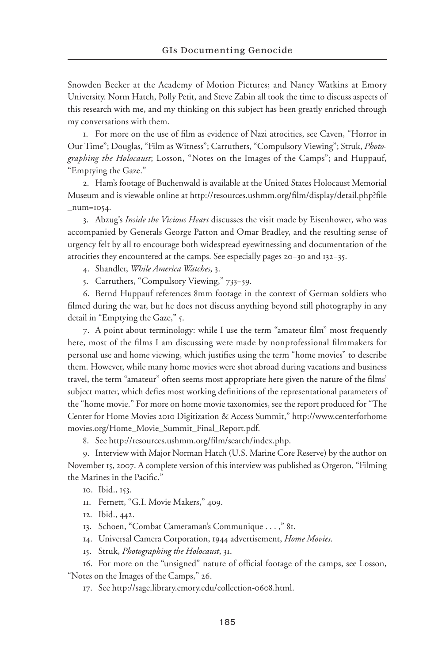Snowden Becker at the Academy of Motion Pictures; and Nancy Watkins at Emory University. Norm Hatch, Polly Petit, and Steve Zabin all took the time to discuss aspects of this research with me, and my thinking on this subject has been greatly enriched through my conversations with them.

1. For more on the use of film as evidence of Nazi atrocities, see Caven, "Horror in Our Time"; Douglas, "Film as Witness"; Carruthers, "Compulsory Viewing"; Struk, *Photographing the Holocaust*; Losson, "Notes on the Images of the Camps"; and Huppauf, "Emptying the Gaze."

2. Ham's footage of Buchenwald is available at the United States Holocaust Memorial Museum and is viewable online at http://resources.ushmm.org/film/display/detail.php?file  $num=1054$ .

3. Abzug's *Inside the Vicious Heart* discusses the visit made by Eisenhower, who was accompanied by Generals George Patton and Omar Bradley, and the resulting sense of urgency felt by all to encourage both widespread eyewitnessing and documentation of the atrocities they encountered at the camps. See especially pages 20–30 and 132–35.

4. Shandler, *While America Watches*, 3.

5. Carruthers, "Compulsory Viewing," 733–59.

6. Bernd Huppauf references 8mm footage in the context of German soldiers who filmed during the war, but he does not discuss anything beyond still photography in any detail in "Emptying the Gaze," 5.

7. A point about terminology: while I use the term "amateur film" most frequently here, most of the films I am discussing were made by nonprofessional filmmakers for personal use and home viewing, which justifies using the term "home movies" to describe them. However, while many home movies were shot abroad during vacations and business travel, the term "amateur" often seems most appropriate here given the nature of the films' subject matter, which defies most working definitions of the representational parameters of the "home movie." For more on home movie taxonomies, see the report produced for "The Center for Home Movies 2010 Digitization & Access Summit," http://www.centerforhome movies.org/Home\_Movie\_Summit\_Final\_Report.pdf.

8. See http://resources.ushmm.org/film/search/index.php.

9. Interview with Major Norman Hatch (U.S. Marine Core Reserve) by the author on November 15, 2007. A complete version of this interview was published as Orgeron, "Filming the Marines in the Pacific."

10. Ibid., 153.

11. Fernett, "G.I. Movie Makers," 409.

12. Ibid., 442.

13. Schoen, "Combat Cameraman's Communique . . . ," 81.

14. Universal Camera Corporation, 1944 advertisement, *Home Movies*.

15. Struk, *Photographing the Holocaust*, 31.

16. For more on the "unsigned" nature of official footage of the camps, see Losson, "Notes on the Images of the Camps," 26.

17. See http://sage.library.emory.edu/collection-0608.html.